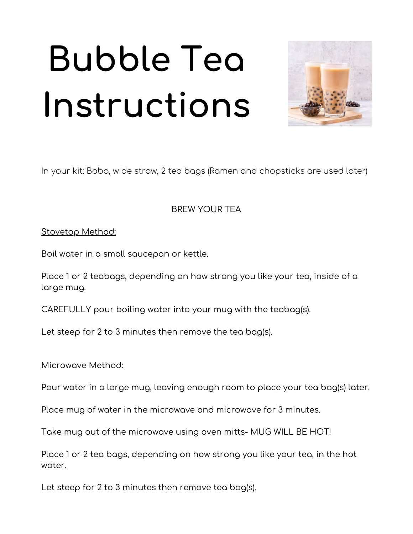# **Bubble Tea Instructions**



In your kit: Boba, wide straw, 2 tea bags (Ramen and chopsticks are used later)

BREW YOUR TEA

### Stovetop Method:

Boil water in a small saucepan or kettle.

 Place 1 or 2 teabags, depending on how strong you like your tea, inside of a large mug.

CAREFULLY pour boiling water into your mug with the teabag(s).

Let steep for 2 to 3 minutes then remove the tea bag(s).

#### Microwave Method:

Pour water in a large mug, leaving enough room to place your tea bag(s) later.

Place mug of water in the microwave and microwave for 3 minutes.

Take mug out of the microwave using oven mitts- MUG WILL BE HOT!

 Place 1 or 2 tea bags, depending on how strong you like your tea, in the hot water.

Let steep for 2 to 3 minutes then remove tea bag(s).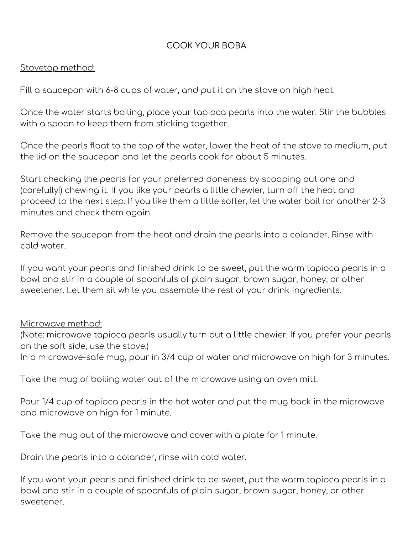## COOK YOUR BOBA

#### Stovetop method:

Fill a saucepan with 6-8 cups of water, and put it on the stove on high heat.

 Once the water starts boiling, place your tapioca pearls into the water. Stir the bubbles with a spoon to keep them from sticking together.

 Once the pearls float to the top of the water, lower the heat of the stove to medium, put the lid on the saucepan and let the pearls cook for about 5 minutes.

 Start checking the pearls for your preferred doneness by scooping out one and (carefully!) chewing it. If you like your pearls a little chewier, turn off the heat and proceed to the next step. If you like them a little softer, let the water boil for another 2-3 minutes and check them again.

 Remove the saucepan from the heat and drain the pearls into a colander. Rinse with cold water.

 If you want your pearls and finished drink to be sweet, put the warm tapioca pearls in a bowl and stir in a couple of spoonfuls of plain sugar, brown sugar, honey, or other sweetener. Let them sit while you assemble the rest of your drink ingredients.

#### Microwave method:

 (Note: microwave tapioca pearls usually turn out a little chewier. If you prefer your pearls on the soft side, use the stove.)

In a microwave-safe mug, pour in 3/4 cup of water and microwave on high for 3 minutes.

Take the mug of boiling water out of the microwave using an oven mitt.

 Pour 1/4 cup of tapioca pearls in the hot water and put the mug back in the microwave and microwave on high for 1 minute.

Take the mug out of the microwave and cover with a plate for 1 minute.

Drain the pearls into a colander, rinse with cold water.

 If you want your pearls and finished drink to be sweet, put the warm tapioca pearls in a bowl and stir in a couple of spoonfuls of plain sugar, brown sugar, honey, or other sweetener.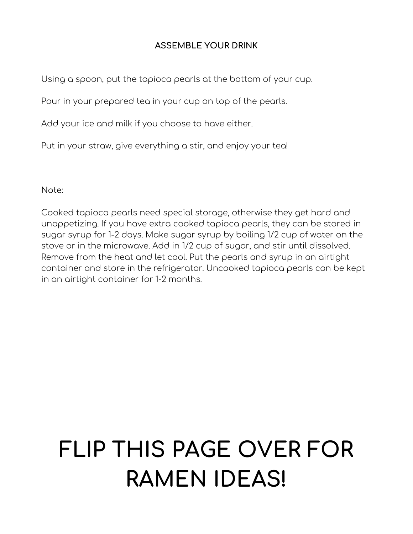## **ASSEMBLE YOUR DRINK**

Using a spoon, put the tapioca pearls at the bottom of your cup.

Pour in your prepared tea in your cup on top of the pearls.

Add your ice and milk if you choose to have either.

Put in your straw, give everything a stir, and enjoy your tea!

Note:

 Cooked tapioca pearls need special storage, otherwise they get hard and unappetizing. If you have extra cooked tapioca pearls, they can be stored in sugar syrup for 1-2 days. Make sugar syrup by boiling 1/2 cup of water on the stove or in the microwave. Add in 1/2 cup of sugar, and stir until dissolved. Remove from the heat and let cool. Put the pearls and syrup in an airtight container and store in the refrigerator. Uncooked tapioca pearls can be kept in an airtight container for 1-2 months.

# **FLIP THIS PAGE OVER FOR RAMEN IDEAS!**